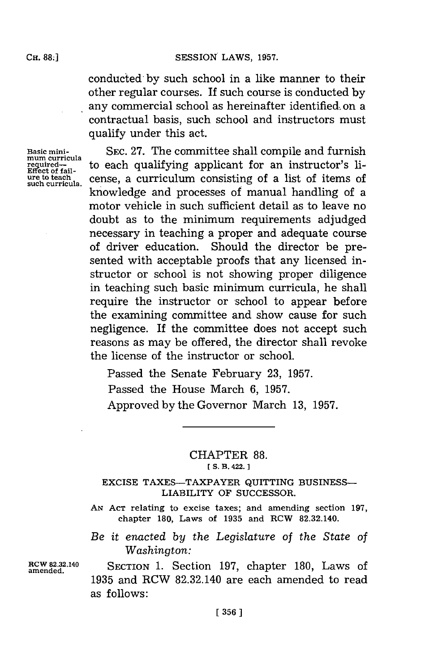conducted **-by** such school in a like manner to their other regular courses. If such course is Conducted **by** any commercial school as hereinafter identified, on a contractual basis, such school and instructors must qualify under this act.

**Basic mini- mum curricula re uired-Effect of fail- ure to teach such curricula.**

SEC. 27. The committee shall compile and furnish to each qualifying applicant for an instructor's license, a curriculum consisting of a list of items of knowledge and processes of manual handling of a motor vehicle in such sufficient detail as to leave no doubt as to the minimum requirements adjudged necessary in teaching a proper and adequate course of driver education. Should the director be presented with acceptable proofs that any licensed instructor or school is not showing proper diligence in teaching such basic minimum curricula, he shall require the instructor or school to appear before the examining committee and show cause for such negligence. **If** the committee does not accept such reasons as may be offered, the director shall revoke the license of the instructor or school.

Passed the Senate February **23, 1957.** Passed the House March **6, 1957.** Approved **by** the Governor March **13, 1957.**

## CHAPTER **88. [ S. B. 422.]1**

## **EXCISE** TAXES-TAXPAYER QUITTING **BUSINESS-**LIABILITY OF **SUCCESSOR.**

**AN ACT** relating to excise taxes; and amending section **197,** chapter **180,** Laws of **1935** and RCW 82.32.140.

## *Be it enacted by the Legislature of the State of Washington:*

**amended.**

**RCW 82.32.140** SECTION **1.** Section **197,** chapter **180,** Laws of **1935** and RCW 82.32.140 are each amended to read as **follows**: